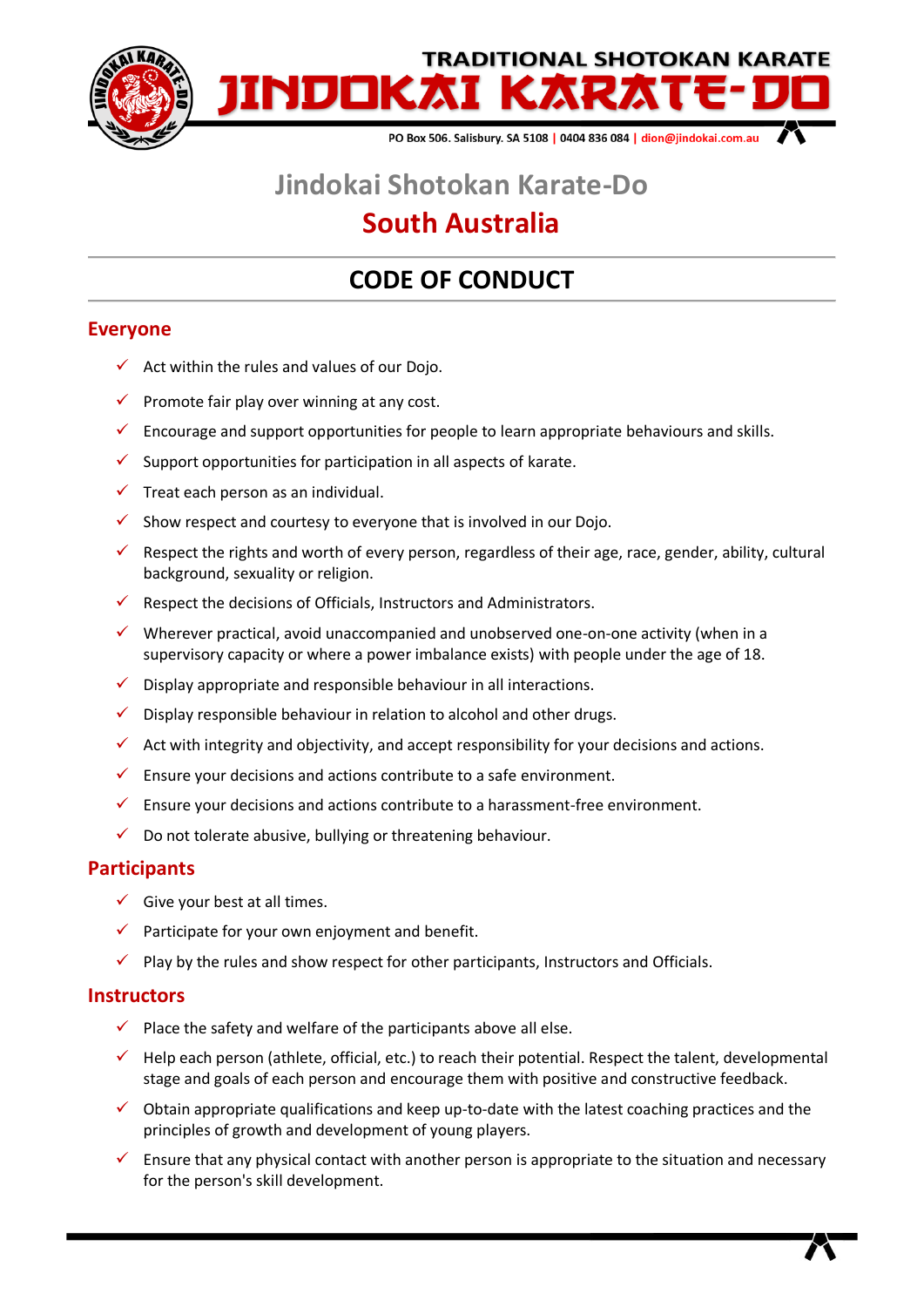

# **Jindokai Shotokan Karate-Do**

## **South Australia**

## **CODE OF CONDUCT**

### **Everyone**

- $\checkmark$  Act within the rules and values of our Dojo.
- $\checkmark$  Promote fair play over winning at any cost.
- $\checkmark$  Encourage and support opportunities for people to learn appropriate behaviours and skills.
- $\checkmark$  Support opportunities for participation in all aspects of karate.
- $\checkmark$  Treat each person as an individual.
- $\checkmark$  Show respect and courtesy to everyone that is involved in our Dojo.
- $\checkmark$  Respect the rights and worth of every person, regardless of their age, race, gender, ability, cultural background, sexuality or religion.
- $\checkmark$  Respect the decisions of Officials, Instructors and Administrators.
- $\checkmark$  Wherever practical, avoid unaccompanied and unobserved one-on-one activity (when in a supervisory capacity or where a power imbalance exists) with people under the age of 18.
- $\checkmark$  Display appropriate and responsible behaviour in all interactions.
- $\checkmark$  Display responsible behaviour in relation to alcohol and other drugs.
- $\checkmark$  Act with integrity and objectivity, and accept responsibility for your decisions and actions.
- $\checkmark$  Ensure your decisions and actions contribute to a safe environment.
- $\checkmark$  Ensure your decisions and actions contribute to a harassment-free environment.
- $\checkmark$  Do not tolerate abusive, bullying or threatening behaviour.

#### **Participants**

- $\checkmark$  Give your best at all times.
- $\checkmark$  Participate for your own enjoyment and benefit.
- $\checkmark$  Play by the rules and show respect for other participants, Instructors and Officials.

#### **Instructors**

- $\checkmark$  Place the safety and welfare of the participants above all else.
- $\checkmark$  Help each person (athlete, official, etc.) to reach their potential. Respect the talent, developmental stage and goals of each person and encourage them with positive and constructive feedback.
- $\checkmark$  Obtain appropriate qualifications and keep up-to-date with the latest coaching practices and the principles of growth and development of young players.
- $\checkmark$  Ensure that any physical contact with another person is appropriate to the situation and necessary for the person's skill development.